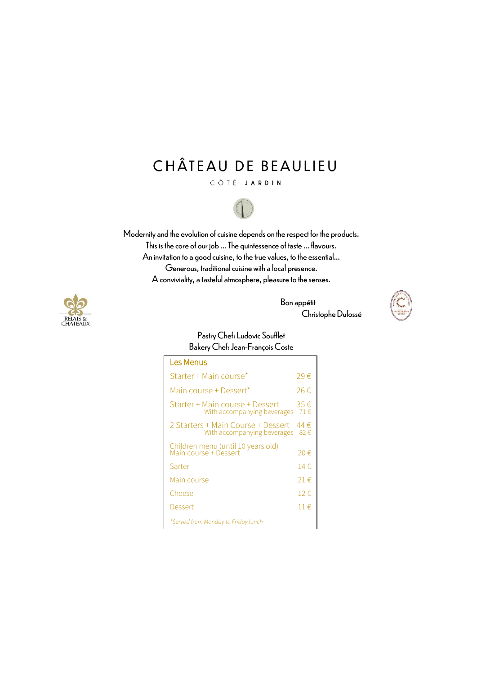# CHÂTEAU DE BEAULIEU

CÔTÉ JARDIN



Modernity and the evolution of cuisine depends on the respect for the products. This is the core of our job ... The quintessence of taste ... flavours. An invitation to a good cuisine, to the true values, to the essential... Generous, traditional cuisine with a local presence. A conviviality, a tasteful atmosphere, pleasure to the senses.





#### Pastry Chef: Ludovic Soufflet Bakery Chef: Jean-François Coste

| Les Menus                                                         |                      |
|-------------------------------------------------------------------|----------------------|
| Starter + Main course*                                            | 29€                  |
| Main course + Dessert*                                            | 26€                  |
| Starter + Main course + Dessert<br>With accompanying beverages    | 35€<br>71 $\epsilon$ |
| 2 Starters + Main Course + Dessert<br>With accompanying beverages | 44 €<br>82€          |
| Children menu (until 10 years old)<br>Main course + Dessert       | 20€                  |
| Sarter                                                            | 14 $\in$             |
| Main course                                                       | 21€                  |
| Cheese                                                            | 12€                  |
| Dessert                                                           | $11 \in$             |
| *Served from Monday to Friday lunch                               |                      |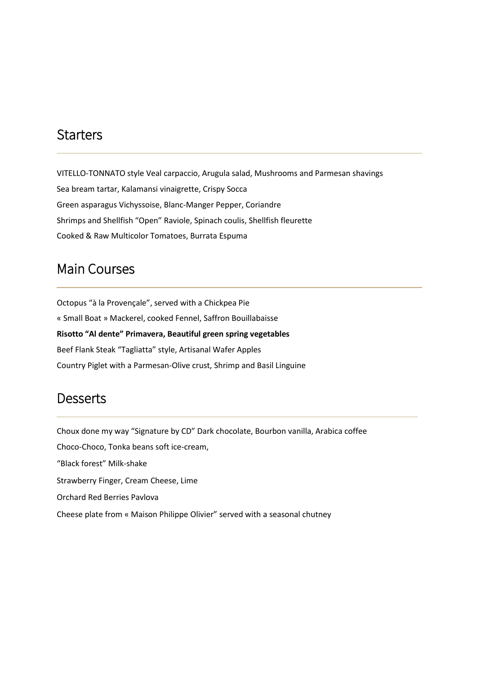## **Starters**

VITELLO-TONNATO style Veal carpaccio, Arugula salad, Mushrooms and Parmesan shavings Sea bream tartar, Kalamansi vinaigrette, Crispy Socca Green asparagus Vichyssoise, Blanc-Manger Pepper, Coriandre Shrimps and Shellfish "Open" Raviole, Spinach coulis, Shellfish fleurette Cooked & Raw Multicolor Tomatoes, Burrata Espuma

## Main Courses

Octopus "à la Provençale", served with a Chickpea Pie « Small Boat » Mackerel, cooked Fennel, Saffron Bouillabaisse **Risotto "Al dente" Primavera, Beautiful green spring vegetables**  Beef Flank Steak "Tagliatta" style, Artisanal Wafer Apples Country Piglet with a Parmesan-Olive crust, Shrimp and Basil Linguine

#### **Desserts**

Choux done my way "Signature by CD" Dark chocolate, Bourbon vanilla, Arabica coffee Choco-Choco, Tonka beans soft ice-cream, "Black forest" Milk-shake Strawberry Finger, Cream Cheese, Lime Orchard Red Berries Pavlova Cheese plate from « Maison Philippe Olivier" served with a seasonal chutney